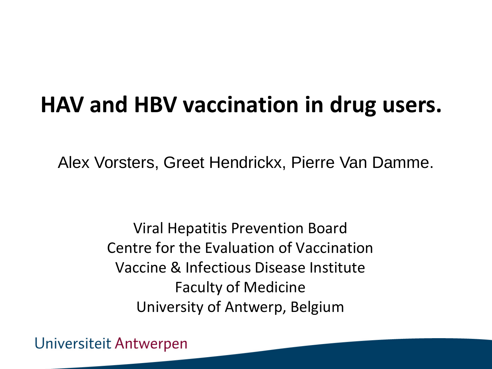### **HAV and HBV vaccination in drug users.**

Alex Vorsters, Greet Hendrickx, Pierre Van Damme.

Viral Hepatitis Prevention Board Centre for the Evaluation of Vaccination Vaccine & Infectious Disease Institute Faculty of Medicine University of Antwerp, Belgium

Universiteit Antwerpen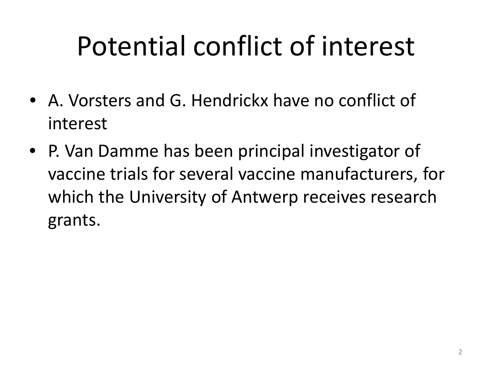# Potential conflict of interest

- A. Vorsters and G. Hendrickx have no conflict of interest
- P. Van Damme has been principal investigator of vaccine trials for several vaccine manufacturers, for which the University of Antwerp receives research grants.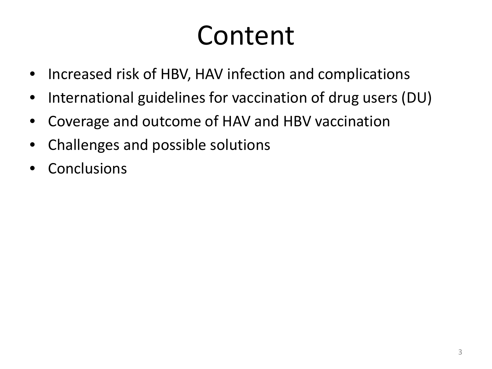# Content

- Increased risk of HBV, HAV infection and complications
- International guidelines for vaccination of drug users (DU)
- Coverage and outcome of HAV and HBV vaccination
- Challenges and possible solutions
- **Conclusions**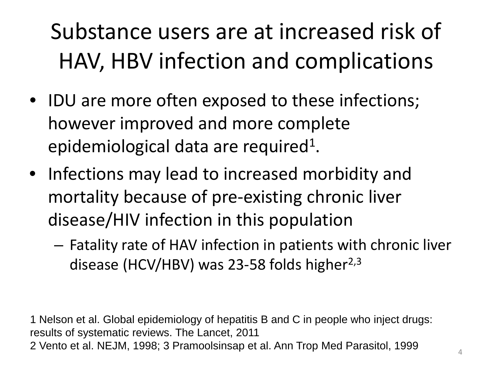### Substance users are at increased risk of HAV, HBV infection and complications

- IDU are more often exposed to these infections; however improved and more complete epidemiological data are required<sup>1</sup>.
- Infections may lead to increased morbidity and mortality because of pre-existing chronic liver disease/HIV infection in this population
	- Fatality rate of HAV infection in patients with chronic liver disease (HCV/HBV) was 23-58 folds higher $^{2,3}$

1 Nelson et al. Global epidemiology of hepatitis B and C in people who inject drugs: results of systematic reviews. The Lancet, 2011 2 Vento et al. NEJM, 1998; 3 Pramoolsinsap et al. Ann Trop Med Parasitol, 1999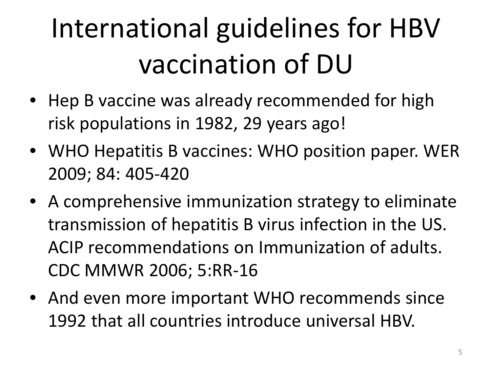# International guidelines for HBV vaccination of DU

- Hep B vaccine was already recommended for high risk populations in 1982, 29 years ago!
- WHO Hepatitis B vaccines: WHO position paper. WER 2009; 84: 405-420
- A comprehensive immunization strategy to eliminate transmission of hepatitis B virus infection in the US. ACIP recommendations on Immunization of adults. CDC MMWR 2006; 5:RR-16
- And even more important WHO recommends since 1992 that all countries introduce universal HBV.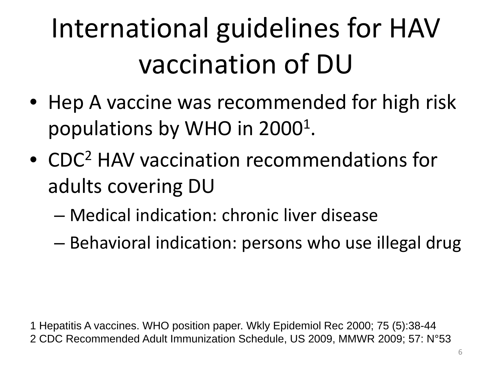# International guidelines for HAV vaccination of DU

- Hep A vaccine was recommended for high risk populations by WHO in 2000<sup>1</sup>.
- CDC2 HAV vaccination recommendations for adults covering DU
	- Medical indication: chronic liver disease
	- Behavioral indication: persons who use illegal drug

1 Hepatitis A vaccines. WHO position paper. Wkly Epidemiol Rec 2000; 75 (5):38-44 2 CDC Recommended Adult Immunization Schedule, US 2009, MMWR 2009; 57: N°53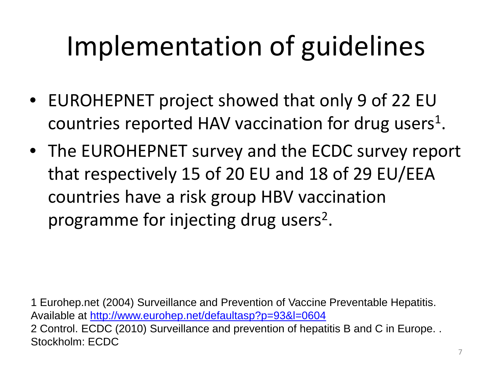# Implementation of guidelines

- EUROHEPNET project showed that only 9 of 22 EU countries reported HAV vaccination for drug users<sup>1</sup>.
- The EUROHEPNET survey and the ECDC survey report that respectively 15 of 20 EU and 18 of 29 EU/EEA countries have a risk group HBV vaccination programme for injecting drug users<sup>2</sup>.

1 Eurohep.net (2004) Surveillance and Prevention of Vaccine Preventable Hepatitis. Available at [http://www.eurohep.net/defaultasp?p=93&l=0604](http://wwweurohepnet/defaultasp?p=93&l=0604) 2 Control. ECDC (2010) Surveillance and prevention of hepatitis B and C in Europe. . Stockholm: ECDC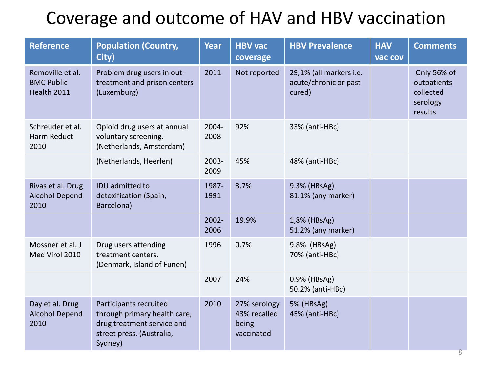#### Coverage and outcome of HAV and HBV vaccination

| <b>Reference</b>                                     | <b>Population (Country,</b><br>City)                                                                                         | <b>Year</b>      | <b>HBV</b> vac<br>coverage                          | <b>HBV Prevalence</b>                                      | <b>HAV</b><br>vac cov | <b>Comments</b>                                                |
|------------------------------------------------------|------------------------------------------------------------------------------------------------------------------------------|------------------|-----------------------------------------------------|------------------------------------------------------------|-----------------------|----------------------------------------------------------------|
| Removille et al.<br><b>BMC Public</b><br>Health 2011 | Problem drug users in out-<br>treatment and prison centers<br>(Luxemburg)                                                    | 2011             | Not reported                                        | 29,1% (all markers i.e.<br>acute/chronic or past<br>cured) |                       | Only 56% of<br>outpatients<br>collected<br>serology<br>results |
| Schreuder et al.<br>Harm Reduct<br>2010              | Opioid drug users at annual<br>voluntary screening.<br>(Netherlands, Amsterdam)                                              | 2004-<br>2008    | 92%                                                 | 33% (anti-HBc)                                             |                       |                                                                |
|                                                      | (Netherlands, Heerlen)                                                                                                       | 2003-<br>2009    | 45%                                                 | 48% (anti-HBc)                                             |                       |                                                                |
| Rivas et al. Drug<br><b>Alcohol Depend</b><br>2010   | IDU admitted to<br>detoxification (Spain,<br>Barcelona)                                                                      | 1987-<br>1991    | 3.7%                                                | 9.3% (HBsAg)<br>81.1% (any marker)                         |                       |                                                                |
|                                                      |                                                                                                                              | $2002 -$<br>2006 | 19.9%                                               | 1,8% (HBsAg)<br>51.2% (any marker)                         |                       |                                                                |
| Mossner et al. J<br>Med Virol 2010                   | Drug users attending<br>treatment centers.<br>(Denmark, Island of Funen)                                                     | 1996             | 0.7%                                                | 9.8% (HBsAg)<br>70% (anti-HBc)                             |                       |                                                                |
|                                                      |                                                                                                                              | 2007             | 24%                                                 | 0.9% (HBsAg)<br>50.2% (anti-HBc)                           |                       |                                                                |
| Day et al. Drug<br><b>Alcohol Depend</b><br>2010     | Participants recruited<br>through primary health care,<br>drug treatment service and<br>street press. (Australia,<br>Sydney) | 2010             | 27% serology<br>43% recalled<br>being<br>vaccinated | 5% (HBsAg)<br>45% (anti-HBc)                               |                       |                                                                |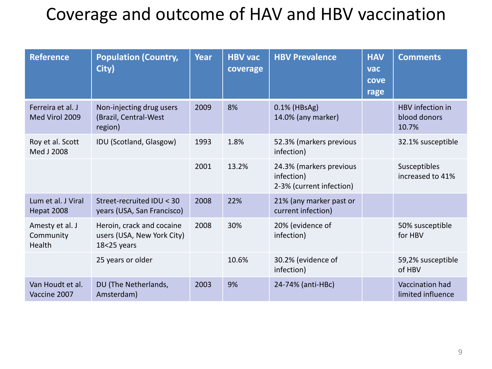#### Coverage and outcome of HAV and HBV vaccination

| <b>Reference</b>                       | <b>Population (Country,</b><br>City)                                   | Year | <b>HBV vac</b><br>coverage | <b>HBV Prevalence</b>                                             | <b>HAV</b><br><b>vac</b><br>cove<br>rage | <b>Comments</b>                           |
|----------------------------------------|------------------------------------------------------------------------|------|----------------------------|-------------------------------------------------------------------|------------------------------------------|-------------------------------------------|
| Ferreira et al. J<br>Med Virol 2009    | Non-injecting drug users<br>(Brazil, Central-West<br>region)           | 2009 | 8%                         | 0.1% (HBsAg)<br>14.0% (any marker)                                |                                          | HBV infection in<br>blood donors<br>10.7% |
| Roy et al. Scott<br>Med J 2008         | IDU (Scotland, Glasgow)                                                | 1993 | 1.8%                       | 52.3% (markers previous<br>infection)                             |                                          | 32.1% susceptible                         |
|                                        |                                                                        | 2001 | 13.2%                      | 24.3% (markers previous<br>infection)<br>2-3% (current infection) |                                          | Susceptibles<br>increased to 41%          |
| Lum et al. J Viral<br>Hepat 2008       | Street-recruited IDU < 30<br>years (USA, San Francisco)                | 2008 | 22%                        | 21% (any marker past or<br>current infection)                     |                                          |                                           |
| Amesty et al. J<br>Community<br>Health | Heroin, crack and cocaine<br>users (USA, New York City)<br>18<25 years | 2008 | 30%                        | 20% (evidence of<br>infection)                                    |                                          | 50% susceptible<br>for HBV                |
|                                        | 25 years or older                                                      |      | 10.6%                      | 30.2% (evidence of<br>infection)                                  |                                          | 59,2% susceptible<br>of HBV               |
| Van Houdt et al.<br>Vaccine 2007       | DU (The Netherlands,<br>Amsterdam)                                     | 2003 | 9%                         | 24-74% (anti-HBc)                                                 |                                          | Vaccination had<br>limited influence      |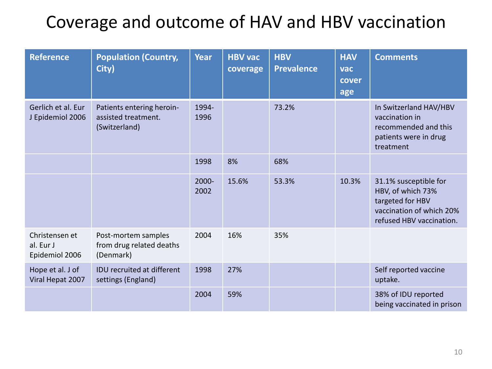#### Coverage and outcome of HAV and HBV vaccination

| <b>Reference</b>                              | <b>Population (Country,</b><br>City)                              | Year          | <b>HBV vac</b><br>coverage | <b>HBV</b><br><b>Prevalence</b> | <b>HAV</b><br>vac<br>cover<br>age | <b>Comments</b>                                                                                                        |
|-----------------------------------------------|-------------------------------------------------------------------|---------------|----------------------------|---------------------------------|-----------------------------------|------------------------------------------------------------------------------------------------------------------------|
| Gerlich et al. Eur<br>J Epidemiol 2006        | Patients entering heroin-<br>assisted treatment.<br>(Switzerland) | 1994<br>1996  |                            | 73.2%                           |                                   | In Switzerland HAV/HBV<br>vaccination in<br>recommended and this<br>patients were in drug<br>treatment                 |
|                                               |                                                                   | 1998          | 8%                         | 68%                             |                                   |                                                                                                                        |
|                                               |                                                                   | 2000-<br>2002 | 15.6%                      | 53.3%                           | 10.3%                             | 31.1% susceptible for<br>HBV, of which 73%<br>targeted for HBV<br>vaccination of which 20%<br>refused HBV vaccination. |
| Christensen et<br>al. Eur J<br>Epidemiol 2006 | Post-mortem samples<br>from drug related deaths<br>(Denmark)      | 2004          | 16%                        | 35%                             |                                   |                                                                                                                        |
| Hope et al. J of<br>Viral Hepat 2007          | <b>IDU</b> recruited at different<br>settings (England)           | 1998          | 27%                        |                                 |                                   | Self reported vaccine<br>uptake.                                                                                       |
|                                               |                                                                   | 2004          | 59%                        |                                 |                                   | 38% of IDU reported<br>being vaccinated in prison                                                                      |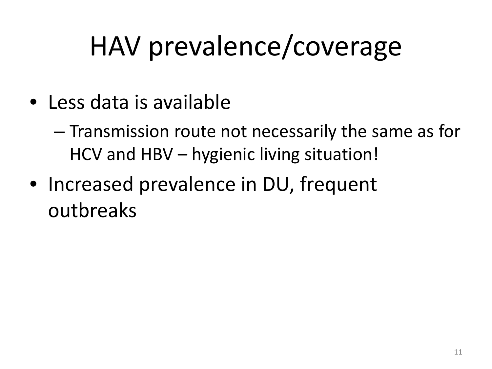# HAV prevalence/coverage

- Less data is available
	- Transmission route not necessarily the same as for HCV and HBV – hygienic living situation!
- Increased prevalence in DU, frequent outbreaks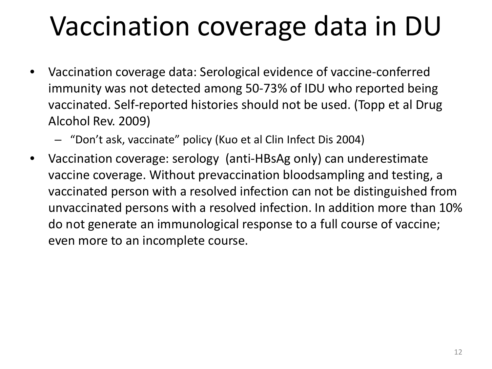## Vaccination coverage data in DU

- Vaccination coverage data: Serological evidence of vaccine-conferred immunity was not detected among 50-73% of IDU who reported being vaccinated. Self-reported histories should not be used. (Topp et al Drug Alcohol Rev. 2009)
	- "Don't ask, vaccinate" policy (Kuo et al Clin Infect Dis 2004)
- Vaccination coverage: serology (anti-HBsAg only) can underestimate vaccine coverage. Without prevaccination bloodsampling and testing, a vaccinated person with a resolved infection can not be distinguished from unvaccinated persons with a resolved infection. In addition more than 10% do not generate an immunological response to a full course of vaccine; even more to an incomplete course.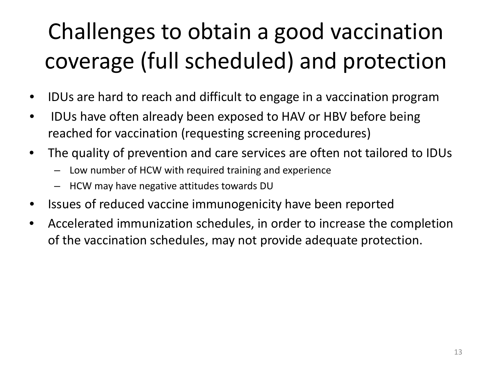### Challenges to obtain a good vaccination coverage (full scheduled) and protection

- IDUs are hard to reach and difficult to engage in a vaccination program
- IDUs have often already been exposed to HAV or HBV before being reached for vaccination (requesting screening procedures)
- The quality of prevention and care services are often not tailored to IDUs
	- Low number of HCW with required training and experience
	- HCW may have negative attitudes towards DU
- Issues of reduced vaccine immunogenicity have been reported
- Accelerated immunization schedules, in order to increase the completion of the vaccination schedules, may not provide adequate protection.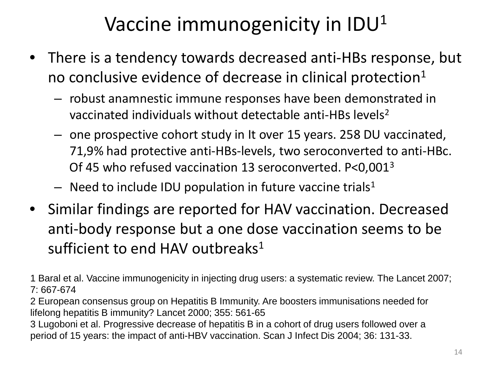### Vaccine immunogenicity in  $IDU<sup>1</sup>$

- There is a tendency towards decreased anti-HBs response, but no conclusive evidence of decrease in clinical protection $1$ 
	- robust anamnestic immune responses have been demonstrated in vaccinated individuals without detectable anti-HBs levels<sup>2</sup>
	- one prospective cohort study in It over 15 years. 258 DU vaccinated, 71,9% had protective anti-HBs-levels, two seroconverted to anti-HBc. Of 45 who refused vaccination 13 seroconverted. P<0,0013
	- $-$  Need to include IDU population in future vaccine trials<sup>1</sup>
- Similar findings are reported for HAV vaccination. Decreased anti-body response but a one dose vaccination seems to be sufficient to end HAV outbreaks $1$

1 Baral et al. Vaccine immunogenicity in injecting drug users: a systematic review. The Lancet 2007; 7: 667-674

2 European consensus group on Hepatitis B Immunity. Are boosters immunisations needed for lifelong hepatitis B immunity? Lancet 2000; 355: 561-65

3 Lugoboni et al. Progressive decrease of hepatitis B in a cohort of drug users followed over a period of 15 years: the impact of anti-HBV vaccination. Scan J Infect Dis 2004; 36: 131-33.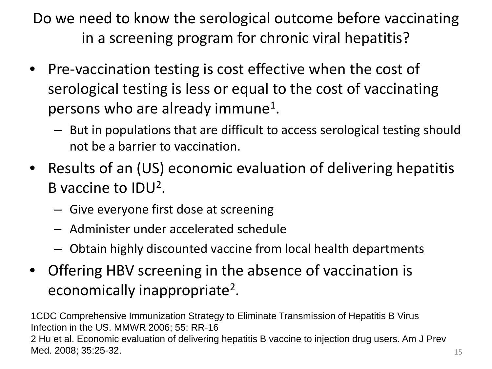Do we need to know the serological outcome before vaccinating in a screening program for chronic viral hepatitis?

- Pre-vaccination testing is cost effective when the cost of serological testing is less or equal to the cost of vaccinating persons who are already immune<sup>1</sup>.
	- But in populations that are difficult to access serological testing should not be a barrier to vaccination.
- Results of an (US) economic evaluation of delivering hepatitis B vaccine to IDU2.
	- Give everyone first dose at screening
	- Administer under accelerated schedule
	- Obtain highly discounted vaccine from local health departments
- Offering HBV screening in the absence of vaccination is economically inappropriate2.

1CDC Comprehensive Immunization Strategy to Eliminate Transmission of Hepatitis B Virus Infection in the US. MMWR 2006; 55: RR-16 2 Hu et al. Economic evaluation of delivering hepatitis B vaccine to injection drug users. Am J Prev Med. 2008; 35:25-32.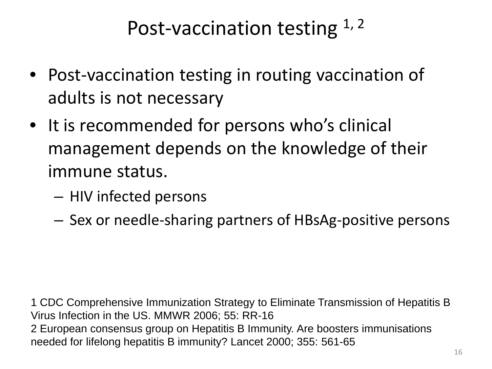### Post-vaccination testing  $1, 2$

- Post-vaccination testing in routing vaccination of adults is not necessary
- It is recommended for persons who's clinical management depends on the knowledge of their immune status.
	- HIV infected persons
	- Sex or needle-sharing partners of HBsAg-positive persons

1 CDC Comprehensive Immunization Strategy to Eliminate Transmission of Hepatitis B Virus Infection in the US. MMWR 2006; 55: RR-16 2 European consensus group on Hepatitis B Immunity. Are boosters immunisations needed for lifelong hepatitis B immunity? Lancet 2000; 355: 561-65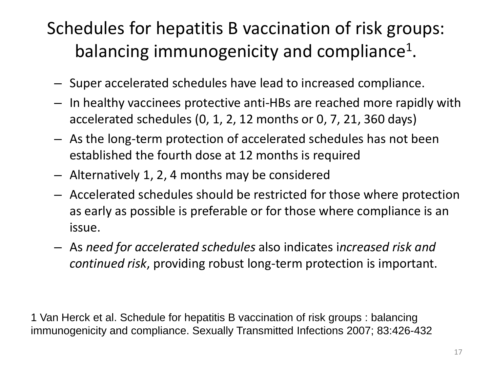### Schedules for hepatitis B vaccination of risk groups: balancing immunogenicity and compliance<sup>1</sup>.

- Super accelerated schedules have lead to increased compliance.
- In healthy vaccinees protective anti-HBs are reached more rapidly with accelerated schedules (0, 1, 2, 12 months or 0, 7, 21, 360 days)
- As the long-term protection of accelerated schedules has not been established the fourth dose at 12 months is required
- Alternatively 1, 2, 4 months may be considered
- Accelerated schedules should be restricted for those where protection as early as possible is preferable or for those where compliance is an issue.
- As *need for accelerated schedules* also indicates i*ncreased risk and continued risk*, providing robust long-term protection is important.

1 Van Herck et al. Schedule for hepatitis B vaccination of risk groups : balancing immunogenicity and compliance. Sexually Transmitted Infections 2007; 83:426-432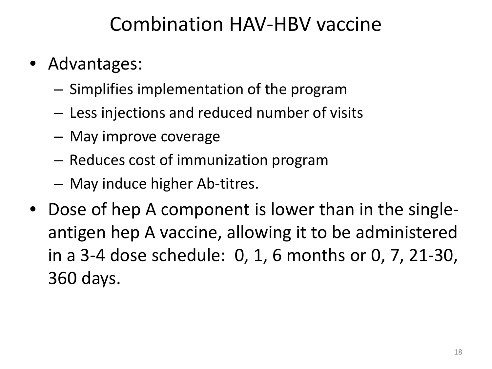### Combination HAV-HBV vaccine

- Advantages:
	- Simplifies implementation of the program
	- Less injections and reduced number of visits
	- May improve coverage
	- Reduces cost of immunization program
	- May induce higher Ab-titres.
- Dose of hep A component is lower than in the singleantigen hep A vaccine, allowing it to be administered in a 3-4 dose schedule: 0, 1, 6 months or 0, 7, 21-30, 360 days.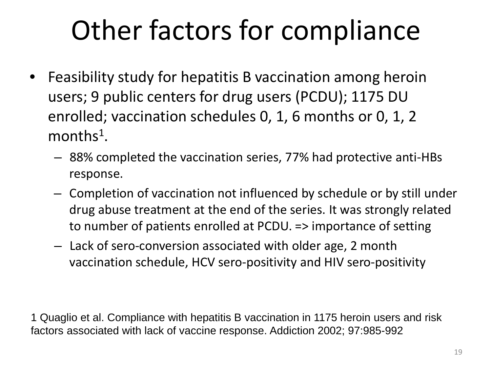# Other factors for compliance

- Feasibility study for hepatitis B vaccination among heroin users; 9 public centers for drug users (PCDU); 1175 DU enrolled; vaccination schedules 0, 1, 6 months or 0, 1, 2 months<sup>1</sup>.
	- 88% completed the vaccination series, 77% had protective anti-HBs response.
	- Completion of vaccination not influenced by schedule or by still under drug abuse treatment at the end of the series. It was strongly related to number of patients enrolled at PCDU. => importance of setting
	- Lack of sero-conversion associated with older age, 2 month vaccination schedule, HCV sero-positivity and HIV sero-positivity

1 Quaglio et al. Compliance with hepatitis B vaccination in 1175 heroin users and risk factors associated with lack of vaccine response. Addiction 2002; 97:985-992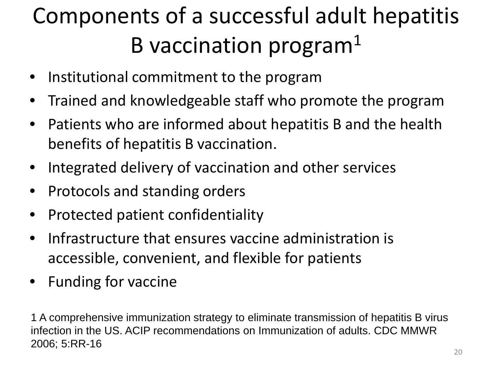### Components of a successful adult hepatitis B vaccination program $1$

- Institutional commitment to the program
- Trained and knowledgeable staff who promote the program
- Patients who are informed about hepatitis B and the health benefits of hepatitis B vaccination.
- Integrated delivery of vaccination and other services
- Protocols and standing orders
- Protected patient confidentiality
- Infrastructure that ensures vaccine administration is accessible, convenient, and flexible for patients
- Funding for vaccine

1 A comprehensive immunization strategy to eliminate transmission of hepatitis B virus infection in the US. ACIP recommendations on Immunization of adults. CDC MMWR 2006; 5:RR-16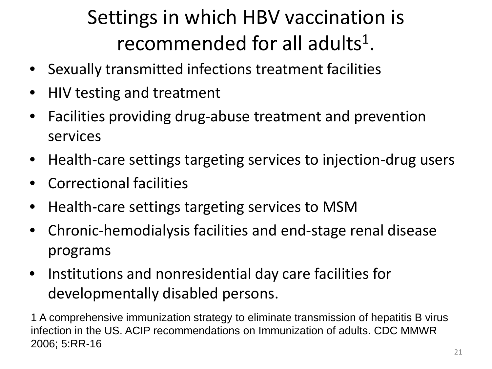### Settings in which HBV vaccination is recommended for all adults<sup>1</sup>.

- Sexually transmitted infections treatment facilities
- HIV testing and treatment
- Facilities providing drug-abuse treatment and prevention services
- Health-care settings targeting services to injection-drug users
- Correctional facilities
- Health-care settings targeting services to MSM
- Chronic-hemodialysis facilities and end-stage renal disease programs
- Institutions and nonresidential day care facilities for developmentally disabled persons.

1 A comprehensive immunization strategy to eliminate transmission of hepatitis B virus infection in the US. ACIP recommendations on Immunization of adults. CDC MMWR 2006; 5:RR-16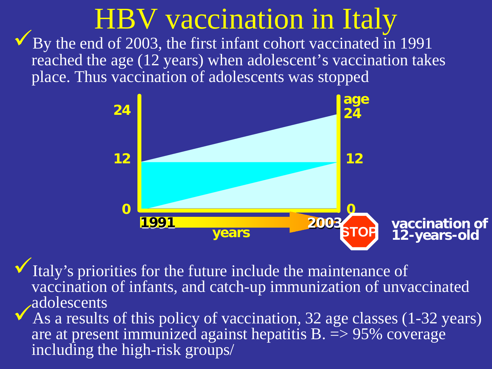# HBV vaccination in Italy<br>By the end of 2003, the first infant cohort vaccinated in 1991

reached the age (12 years) when adolescent's vaccination takes place. Thus vaccination of adolescents was stopped



Italy's priorities for the future include the maintenance of vaccination of infants, and catch-up immunization of unvaccinated

As a results of this policy of vaccination, 32 age classes (1-32 years) are at present immunized against hepatitis  $B = 95\%$  coverage including the high-risk groups/